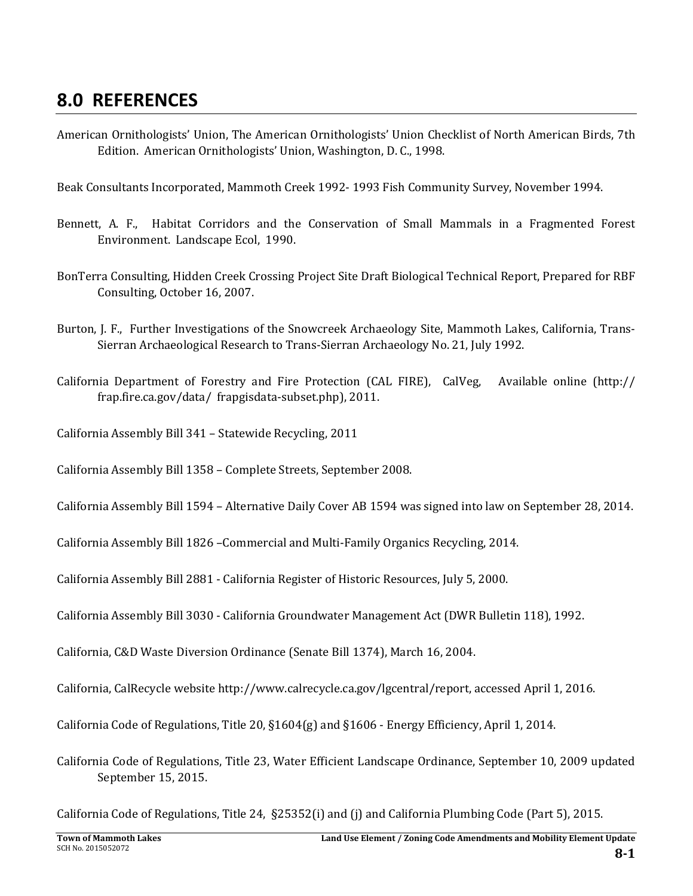## **8.0 REFERENCES**

American Ornithologists' Union, The American Ornithologists' Union Checklist of North American Birds, 7th Edition. American Ornithologists' Union, Washington, D. C., 1998.

Beak Consultants Incorporated, Mammoth Creek 1992- 1993 Fish Community Survey, November 1994.

- Bennett, A. F., Habitat Corridors and the Conservation of Small Mammals in a Fragmented Forest Environment. Landscape Ecol, 1990.
- BonTerra Consulting, Hidden Creek Crossing Project Site Draft Biological Technical Report, Prepared for RBF Consulting, October 16, 2007.
- Burton, J. F., Further Investigations of the Snowcreek Archaeology Site, Mammoth Lakes, California, Trans-Sierran Archaeological Research to Trans-Sierran Archaeology No. 21, July 1992.
- California Department of Forestry and Fire Protection (CAL FIRE), CalVeg, Available online  $\frac{[http://]}{]}$ frap.fire.ca.gov/data/ frapgisdata-subset.php), 2011.
- California Assembly Bill 341 Statewide Recycling, 2011
- California Assembly Bill 1358 Complete Streets, September 2008.
- California Assembly Bill 1594 Alternative Daily Cover AB 1594 was signed into law on September 28, 2014.
- California Assembly Bill 1826 Commercial and Multi-Family Organics Recycling, 2014.
- California Assembly Bill 2881 California Register of Historic Resources, July 5, 2000.
- California Assembly Bill 3030 California Groundwater Management Act (DWR Bulletin 118), 1992.
- California, C&D Waste Diversion Ordinance (Senate Bill 1374), March 16, 2004.
- California, CalRecycle website http://www.calrecycle.ca.gov/lgcentral/report, accessed April 1, 2016.
- California Code of Regulations, Title 20, §1604(g) and §1606 Energy Efficiency, April 1, 2014.
- California Code of Regulations, Title 23, Water Efficient Landscape Ordinance, September 10, 2009 updated September 15, 2015.

California Code of Regulations, Title 24, §25352(i) and (j) and California Plumbing Code (Part 5), 2015.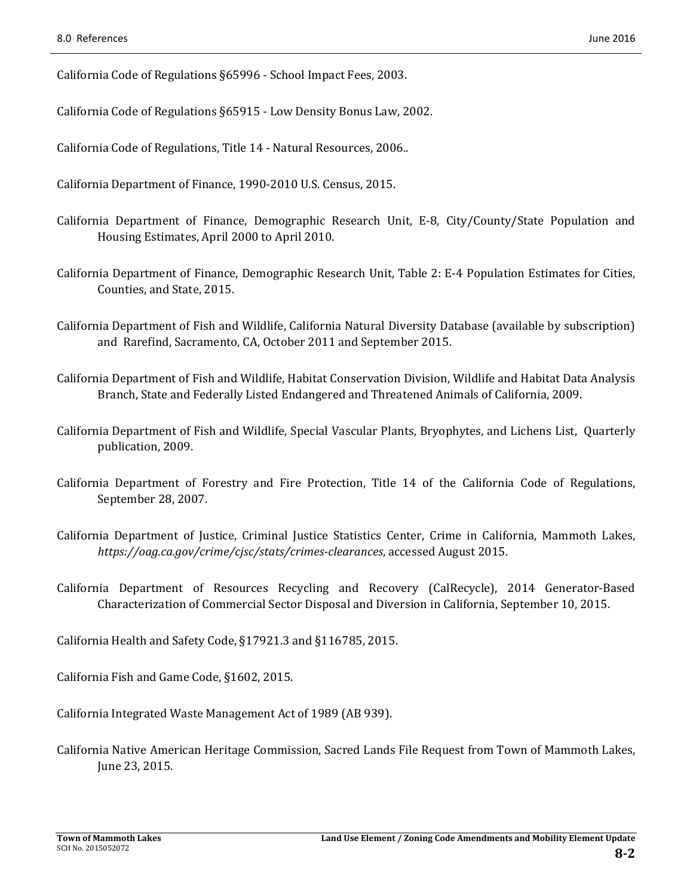California Code of Regulations §65996 - School Impact Fees, 2003.

California Code of Regulations §65915 - Low Density Bonus Law, 2002.

California Code of Regulations, Title 14 - Natural Resources, 2006..

California Department of Finance, 1990-2010 U.S. Census, 2015.

- California Department of Finance, Demographic Research Unit, E-8, City/County/State Population and Housing Estimates, April 2000 to April 2010.
- California Department of Finance, Demographic Research Unit, Table 2: E-4 Population Estimates for Cities, Counties, and State, 2015.
- California Department of Fish and Wildlife, California Natural Diversity Database (available by subscription) and Rarefind, Sacramento, CA, October 2011 and September 2015.
- California Department of Fish and Wildlife, Habitat Conservation Division, Wildlife and Habitat Data Analysis Branch, State and Federally Listed Endangered and Threatened Animals of California, 2009.
- California Department of Fish and Wildlife, Special Vascular Plants, Bryophytes, and Lichens List, Quarterly publication, 2009.
- California Department of Forestry and Fire Protection, Title 14 of the California Code of Regulations, September 28, 2007.
- California Department of Justice, Criminal Justice Statistics Center, Crime in California, Mammoth Lakes, *https://oag.ca.gov/crime/cjsc/stats/crimes‐clearances*, accessed August 2015.
- California Department of Resources Recycling and Recovery (CalRecycle), 2014 Generator‐Based Characterization of Commercial Sector Disposal and Diversion in California, September 10, 2015.

California Health and Safety Code, §17921.3 and §116785, 2015.

California Fish and Game Code, §1602, 2015.

California Integrated Waste Management Act of 1989 (AB 939).

California Native American Heritage Commission, Sacred Lands File Request from Town of Mammoth Lakes, June 23, 2015.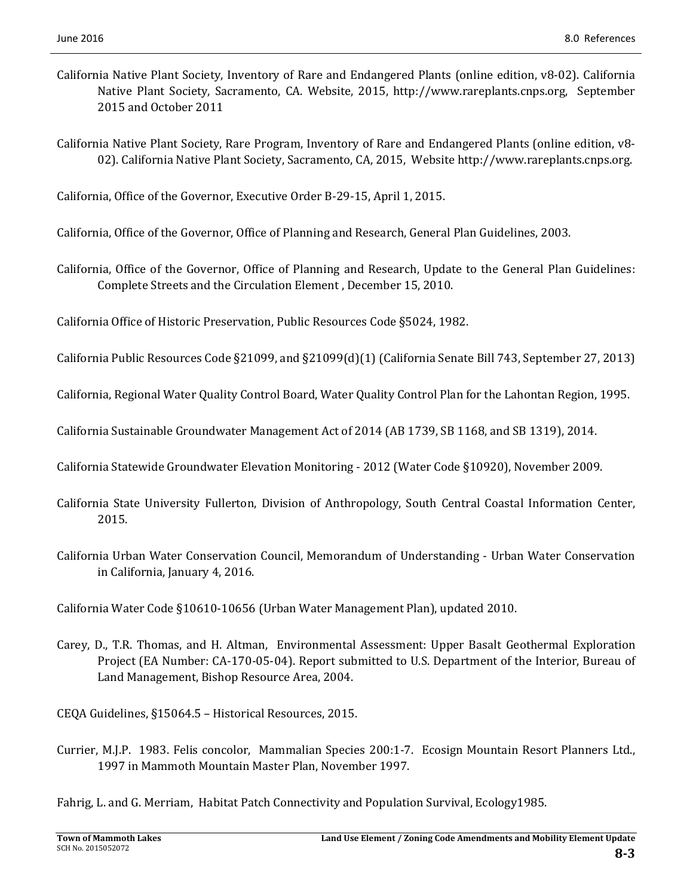- California Native Plant Society, Inventory of Rare and Endangered Plants (online edition, v8-02). California Native Plant Society, Sacramento, CA. Website, 2015, http://www.rareplants.cnps.org, September 2015 and October 2011
- California Native Plant Society, Rare Program, Inventory of Rare and Endangered Plants (online edition, v8-02). California Native Plant Society, Sacramento, CA, 2015, Website http://www.rareplants.cnps.org.

California, Office of the Governor, Executive Order B-29-15, April 1, 2015.

California, Office of the Governor, Office of Planning and Research, General Plan Guidelines, 2003.

California, Office of the Governor, Office of Planning and Research, Update to the General Plan Guidelines: Complete Streets and the Circulation Element, December 15, 2010.

California Office of Historic Preservation, Public Resources Code §5024, 1982.

California Public Resources Code §21099, and §21099(d)(1) (California Senate Bill 743, September 27, 2013)

California, Regional Water Quality Control Board, Water Quality Control Plan for the Lahontan Region, 1995.

California Sustainable Groundwater Management Act of 2014 (AB 1739, SB 1168, and SB 1319), 2014.

California Statewide Groundwater Elevation Monitoring - 2012 (Water Code §10920), November 2009.

- California State University Fullerton, Division of Anthropology, South Central Coastal Information Center, 2015.
- California Urban Water Conservation Council, Memorandum of Understanding Urban Water Conservation in California, January 4, 2016.

California Water Code §10610-10656 (Urban Water Management Plan), updated 2010.

Carey, D., T.R. Thomas, and H. Altman, Environmental Assessment: Upper Basalt Geothermal Exploration Project (EA Number: CA-170-05-04). Report submitted to U.S. Department of the Interior, Bureau of Land Management, Bishop Resource Area, 2004.

CEQA Guidelines, §15064.5 – Historical Resources, 2015.

Currier, M.J.P. 1983. Felis concolor, Mammalian Species 200:1-7. Ecosign Mountain Resort Planners Ltd., 1997 in Mammoth Mountain Master Plan, November 1997.

Fahrig, L. and G. Merriam, Habitat Patch Connectivity and Population Survival, Ecology1985.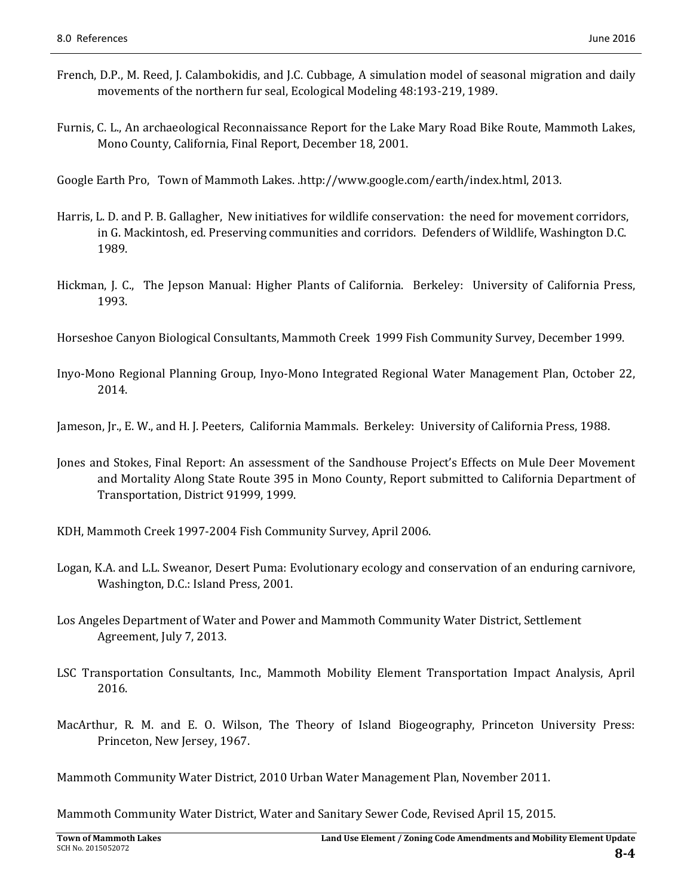- French, D.P., M. Reed, J. Calambokidis, and J.C. Cubbage, A simulation model of seasonal migration and daily movements of the northern fur seal, Ecological Modeling 48:193-219, 1989.
- Furnis, C. L., An archaeological Reconnaissance Report for the Lake Mary Road Bike Route, Mammoth Lakes, Mono County, California, Final Report, December 18, 2001.

Google Earth Pro, Town of Mammoth Lakes. .http://www.google.com/earth/index.html, 2013.

- Harris, L. D. and P. B. Gallagher, New initiatives for wildlife conservation: the need for movement corridors, in G. Mackintosh, ed. Preserving communities and corridors. Defenders of Wildlife, Washington D.C. 1989.
- Hickman, J. C., The Jepson Manual: Higher Plants of California. Berkeley: University of California Press, 1993.

Horseshoe Canyon Biological Consultants, Mammoth Creek 1999 Fish Community Survey, December 1999.

Inyo‐Mono Regional Planning Group, Inyo‐Mono Integrated Regional Water Management Plan, October 22, 2014. 

Jameson, Ir., E. W., and H. J. Peeters, California Mammals. Berkeley: University of California Press, 1988.

- Jones and Stokes, Final Report: An assessment of the Sandhouse Project's Effects on Mule Deer Movement and Mortality Along State Route 395 in Mono County, Report submitted to California Department of Transportation, District 91999, 1999.
- KDH, Mammoth Creek 1997-2004 Fish Community Survey, April 2006.
- Logan, K.A. and L.L. Sweanor, Desert Puma: Evolutionary ecology and conservation of an enduring carnivore, Washington, D.C.: Island Press, 2001.
- Los Angeles Department of Water and Power and Mammoth Community Water District, Settlement Agreement, July 7, 2013.
- LSC Transportation Consultants, Inc., Mammoth Mobility Element Transportation Impact Analysis, April 2016.
- MacArthur, R. M. and E. O. Wilson, The Theory of Island Biogeography, Princeton University Press: Princeton, New Jersey, 1967.

Mammoth Community Water District, 2010 Urban Water Management Plan, November 2011.

Mammoth Community Water District, Water and Sanitary Sewer Code, Revised April 15, 2015.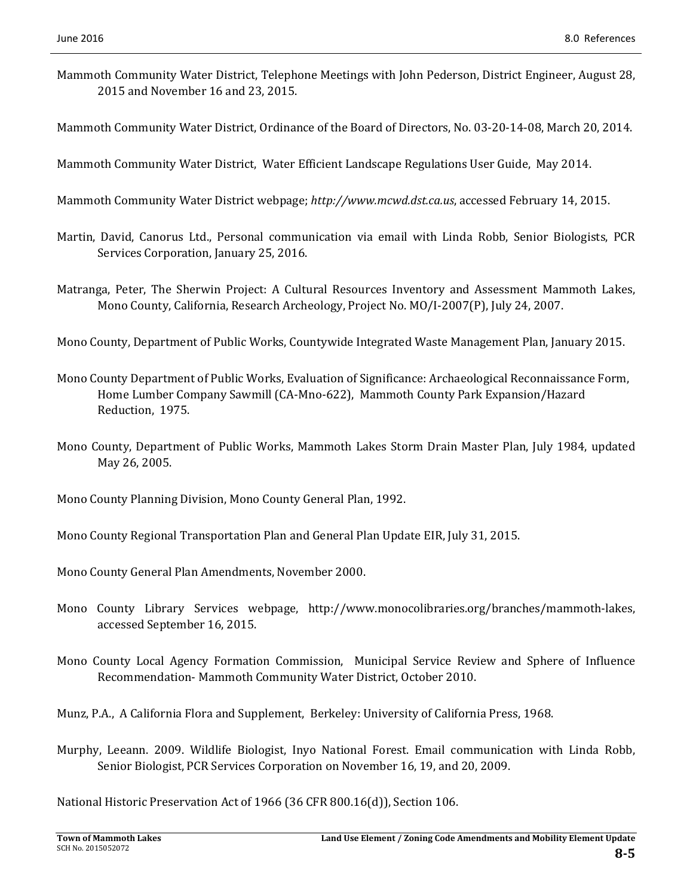- Mammoth Community Water District, Telephone Meetings with John Pederson, District Engineer, August 28, 2015 and November 16 and 23, 2015.
- Mammoth Community Water District, Ordinance of the Board of Directors, No. 03-20-14-08, March 20, 2014.
- Mammoth Community Water District, Water Efficient Landscape Regulations User Guide, May 2014.
- Mammoth Community Water District webpage; http://www.mcwd.dst.ca.us, accessed February 14, 2015.
- Martin, David, Canorus Ltd., Personal communication via email with Linda Robb, Senior Biologists, PCR Services Corporation, January 25, 2016.
- Matranga, Peter, The Sherwin Project: A Cultural Resources Inventory and Assessment Mammoth Lakes, Mono County, California, Research Archeology, Project No. MO/I-2007(P), July 24, 2007.
- Mono County, Department of Public Works, Countywide Integrated Waste Management Plan, January 2015.
- Mono County Department of Public Works, Evaluation of Significance: Archaeological Reconnaissance Form, Home Lumber Company Sawmill (CA-Mno-622), Mammoth County Park Expansion/Hazard Reduction, 1975.
- Mono County, Department of Public Works, Mammoth Lakes Storm Drain Master Plan, July 1984, updated May 26, 2005.
- Mono County Planning Division, Mono County General Plan, 1992.
- Mono County Regional Transportation Plan and General Plan Update EIR, July 31, 2015.
- Mono County General Plan Amendments, November 2000.
- Mono County Library Services webpage, http://www.monocolibraries.org/branches/mammoth-lakes, accessed September 16, 2015.
- Mono County Local Agency Formation Commission, Municipal Service Review and Sphere of Influence Recommendation- Mammoth Community Water District, October 2010.
- Munz, P.A., A California Flora and Supplement, Berkeley: University of California Press, 1968.
- Murphy, Leeann. 2009. Wildlife Biologist, Inyo National Forest. Email communication with Linda Robb, Senior Biologist, PCR Services Corporation on November 16, 19, and 20, 2009.

National Historic Preservation Act of 1966 (36 CFR 800.16(d)), Section 106.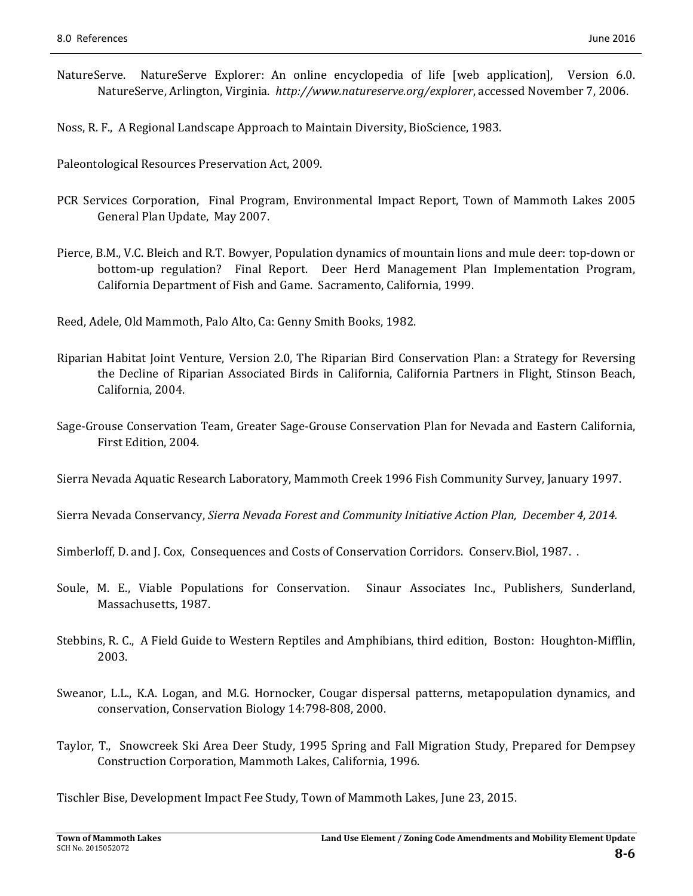NatureServe. NatureServe Explorer: An online encyclopedia of life [web application], Version 6.0. NatureServe, Arlington, Virginia. http://www.natureserve.org/explorer, accessed November 7, 2006.

Noss, R. F., A Regional Landscape Approach to Maintain Diversity, BioScience, 1983.

Paleontological Resources Preservation Act, 2009.

- PCR Services Corporation, Final Program, Environmental Impact Report, Town of Mammoth Lakes 2005 General Plan Update, May 2007.
- Pierce, B.M., V.C. Bleich and R.T. Bowyer, Population dynamics of mountain lions and mule deer: top-down or bottom-up regulation? Final Report. Deer Herd Management Plan Implementation Program, California Department of Fish and Game. Sacramento, California, 1999.

Reed, Adele, Old Mammoth, Palo Alto, Ca: Genny Smith Books, 1982.

- Riparian Habitat Joint Venture, Version 2.0, The Riparian Bird Conservation Plan: a Strategy for Reversing the Decline of Riparian Associated Birds in California, California Partners in Flight, Stinson Beach, California, 2004.
- Sage-Grouse Conservation Team, Greater Sage-Grouse Conservation Plan for Nevada and Eastern California, First Edition, 2004.

Sierra Nevada Aquatic Research Laboratory, Mammoth Creek 1996 Fish Community Survey, January 1997.

Sierra Nevada Conservancy, *Sierra Nevada Forest and Community Initiative Action Plan, December 4, 2014.* 

Simberloff, D. and J. Cox, Consequences and Costs of Conservation Corridors. Conserv.Biol, 1987. .

- Soule, M. E., Viable Populations for Conservation. Sinaur Associates Inc., Publishers, Sunderland, Massachusetts, 1987.
- Stebbins, R. C., A Field Guide to Western Reptiles and Amphibians, third edition, Boston: Houghton-Mifflin, 2003.
- Sweanor, L.L., K.A. Logan, and M.G. Hornocker, Cougar dispersal patterns, metapopulation dynamics, and conservation, Conservation Biology 14:798-808, 2000.
- Taylor, T., Snowcreek Ski Area Deer Study, 1995 Spring and Fall Migration Study, Prepared for Dempsey Construction Corporation, Mammoth Lakes, California, 1996.

Tischler Bise, Development Impact Fee Study, Town of Mammoth Lakes, June 23, 2015.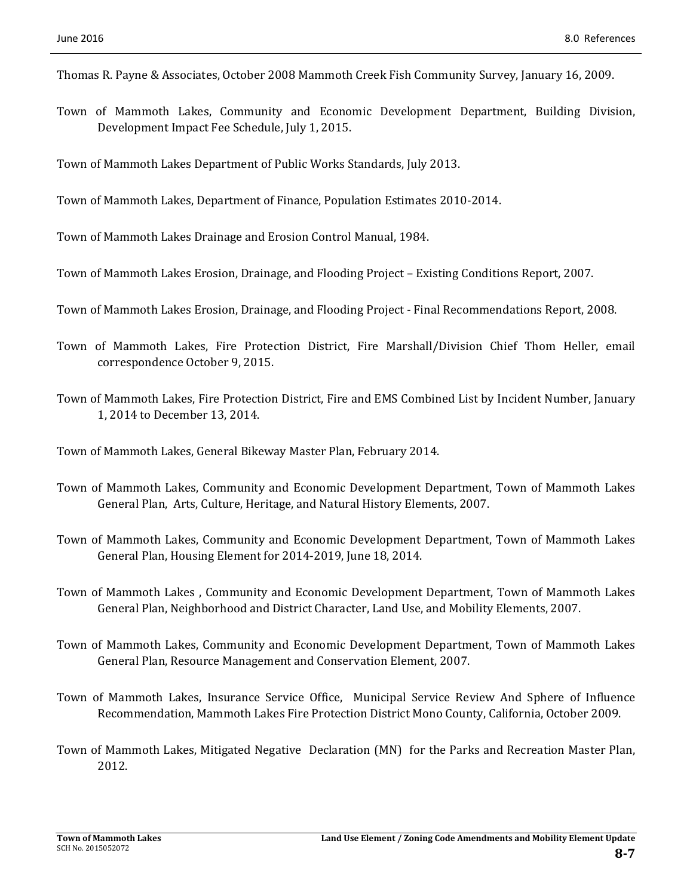- Thomas R. Payne & Associates, October 2008 Mammoth Creek Fish Community Survey, January 16, 2009.
- Town of Mammoth Lakes, Community and Economic Development Department, Building Division, Development Impact Fee Schedule, July 1, 2015.

Town of Mammoth Lakes Department of Public Works Standards, July 2013.

Town of Mammoth Lakes, Department of Finance, Population Estimates 2010-2014.

Town of Mammoth Lakes Drainage and Erosion Control Manual, 1984.

Town of Mammoth Lakes Erosion, Drainage, and Flooding Project – Existing Conditions Report, 2007.

- Town of Mammoth Lakes Erosion, Drainage, and Flooding Project Final Recommendations Report, 2008.
- Town of Mammoth Lakes, Fire Protection District, Fire Marshall/Division Chief Thom Heller, email correspondence October 9, 2015.
- Town of Mammoth Lakes, Fire Protection District, Fire and EMS Combined List by Incident Number, January 1, 2014 to December 13, 2014.

Town of Mammoth Lakes, General Bikeway Master Plan, February 2014.

- Town of Mammoth Lakes, Community and Economic Development Department, Town of Mammoth Lakes General Plan, Arts, Culture, Heritage, and Natural History Elements, 2007.
- Town of Mammoth Lakes, Community and Economic Development Department, Town of Mammoth Lakes General Plan, Housing Element for 2014-2019, June 18, 2014.
- Town of Mammoth Lakes, Community and Economic Development Department, Town of Mammoth Lakes General Plan, Neighborhood and District Character, Land Use, and Mobility Elements, 2007.
- Town of Mammoth Lakes, Community and Economic Development Department, Town of Mammoth Lakes General Plan, Resource Management and Conservation Element, 2007.
- Town of Mammoth Lakes, Insurance Service Office, Municipal Service Review And Sphere of Influence Recommendation, Mammoth Lakes Fire Protection District Mono County, California, October 2009.
- Town of Mammoth Lakes, Mitigated Negative Declaration (MN) for the Parks and Recreation Master Plan, 2012.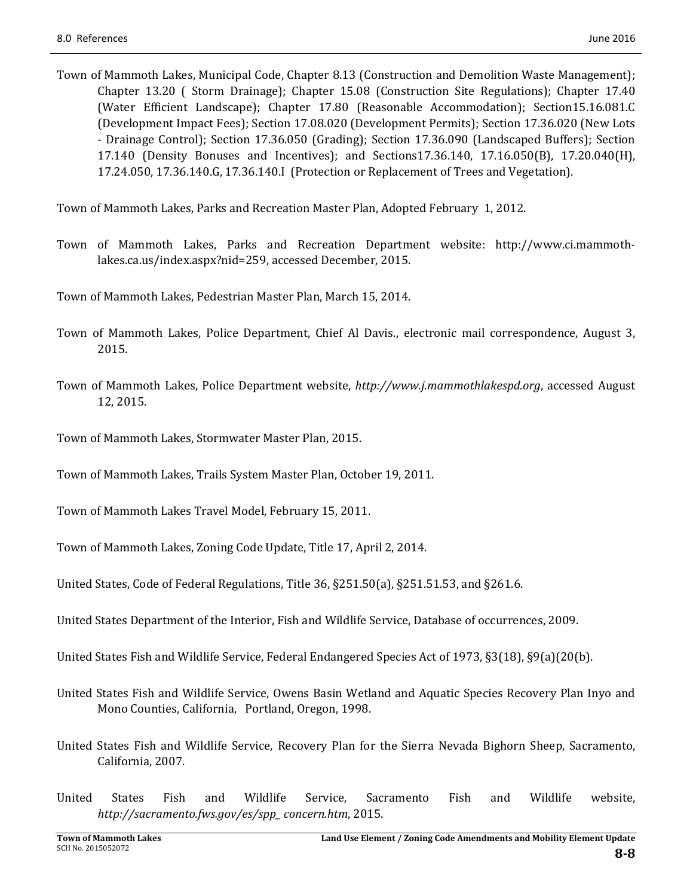Town of Mammoth Lakes, Municipal Code, Chapter 8.13 (Construction and Demolition Waste Management); Chapter 13.20 ( Storm Drainage); Chapter 15.08 (Construction Site Regulations); Chapter 17.40 (Water Efficient Landscape); Chapter 17.80 (Reasonable Accommodation); Section15.16.081.C (Development Impact Fees); Section 17.08.020 (Development Permits); Section 17.36.020 (New Lots - Drainage Control); Section 17.36.050 (Grading); Section 17.36.090 (Landscaped Buffers); Section 17.140 (Density Bonuses and Incentives); and Sections17.36.140, 17.16.050(B), 17.20.040(H), 17.24.050, 17.36.140.G, 17.36.140.I (Protection or Replacement of Trees and Vegetation).

Town of Mammoth Lakes, Parks and Recreation Master Plan, Adopted February 1, 2012.

Town of Mammoth Lakes, Parks and Recreation Department website: http://www.ci.mammothlakes.ca.us/index.aspx?nid=259, accessed December, 2015.

Town of Mammoth Lakes, Pedestrian Master Plan, March 15, 2014.

- Town of Mammoth Lakes, Police Department, Chief Al Davis., electronic mail correspondence, August 3, 2015.
- Town of Mammoth Lakes, Police Department website, http://www.j.mammothlakespd.org, accessed August 12, 2015.
- Town of Mammoth Lakes, Stormwater Master Plan, 2015.
- Town of Mammoth Lakes, Trails System Master Plan, October 19, 2011.
- Town of Mammoth Lakes Travel Model, February 15, 2011.
- Town of Mammoth Lakes, Zoning Code Update, Title 17, April 2, 2014.
- United States, Code of Federal Regulations, Title  $36$ ,  $\S251.50(a)$ ,  $\S251.51.53$ , and  $\S261.6$ .
- United States Department of the Interior, Fish and Wildlife Service, Database of occurrences, 2009.
- United States Fish and Wildlife Service, Federal Endangered Species Act of 1973,  $\S3(18)$ ,  $\S9(a)(20(b)$ .
- United States Fish and Wildlife Service, Owens Basin Wetland and Aquatic Species Recovery Plan Inyo and Mono Counties, California, Portland, Oregon, 1998.
- United States Fish and Wildlife Service, Recovery Plan for the Sierra Nevada Bighorn Sheep, Sacramento, California, 2007.
- United States Fish and Wildlife Service, Sacramento Fish and Wildlife website, *http://sacramento.fws.gov/es/spp\_ concern.htm*, 2015.